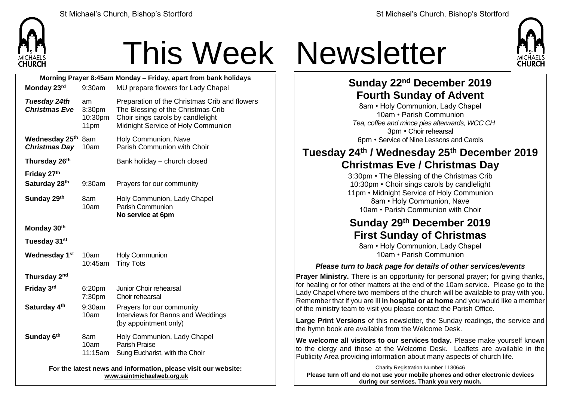

# This Week Newsletter

| Morning Prayer 8:45am Monday - Friday, apart from bank holidays                              |                                             |                                                                                                                                                                |  |  |  |  |
|----------------------------------------------------------------------------------------------|---------------------------------------------|----------------------------------------------------------------------------------------------------------------------------------------------------------------|--|--|--|--|
| Monday 23rd                                                                                  | 9:30am                                      | MU prepare flowers for Lady Chapel                                                                                                                             |  |  |  |  |
| Tuesday 24th<br><b>Christmas Eve</b>                                                         | am<br>3:30 <sub>pm</sub><br>10:30pm<br>11pm | Preparation of the Christmas Crib and flowers<br>The Blessing of the Christmas Crib<br>Choir sings carols by candlelight<br>Midnight Service of Holy Communion |  |  |  |  |
| Wednesday 25th<br><b>Christmas Day</b>                                                       | 8am<br>10am                                 | Holy Communion, Nave<br>Parish Communion with Choir                                                                                                            |  |  |  |  |
| Thursday 26th                                                                                |                                             | Bank holiday - church closed                                                                                                                                   |  |  |  |  |
| Friday 27th<br>Saturday 28th                                                                 | 9:30am                                      | Prayers for our community                                                                                                                                      |  |  |  |  |
| Sunday 29th                                                                                  | 8am<br>10am                                 | Holy Communion, Lady Chapel<br>Parish Communion<br>No service at 6pm                                                                                           |  |  |  |  |
| Monday 30th                                                                                  |                                             |                                                                                                                                                                |  |  |  |  |
| Tuesday 31 <sup>st</sup>                                                                     |                                             |                                                                                                                                                                |  |  |  |  |
| Wednesday 1 <sup>st</sup>                                                                    | 10am<br>10:45am                             | Holy Communion<br><b>Tiny Tots</b>                                                                                                                             |  |  |  |  |
| Thursday 2nd                                                                                 |                                             |                                                                                                                                                                |  |  |  |  |
| Friday 3rd                                                                                   | 6:20pm<br>7:30pm                            | Junior Choir rehearsal<br>Choir rehearsal                                                                                                                      |  |  |  |  |
| Saturday 4th                                                                                 | 9:30am<br>10am                              | Prayers for our community<br>Interviews for Banns and Weddings<br>(by appointment only)                                                                        |  |  |  |  |
| Sunday 6th                                                                                   | 8am<br>10am<br>11:15am                      | Holy Communion, Lady Chapel<br>Parish Praise<br>Sung Eucharist, with the Choir                                                                                 |  |  |  |  |
| For the latest news and information, please visit our website:<br>www.saintmichaelweb.org.uk |                                             |                                                                                                                                                                |  |  |  |  |



## **Sunday 22 nd December 2019 Fourth Sunday of Advent**

8am • Holy Communion, Lady Chapel 10am • Parish Communion *Tea, coffee and mince pies afterwards, WCC CH* 3pm • Choir rehearsal 6pm • Service of Nine Lessons and Carols

### **Tuesday 24th / Wednesday 25th December 2019 Christmas Eve / Christmas Day**

3:30pm • The Blessing of the Christmas Crib 10:30pm • Choir sings carols by candlelight 11pm • Midnight Service of Holy Communion 8am • Holy Communion, Nave 10am • Parish Communion with Choir

## **Sunday 29th December 2019 First Sunday of Christmas**

8am • Holy Communion, Lady Chapel 10am • Parish Communion

#### *Please turn to back page for details of other services/events*

**Prayer Ministry.** There is an opportunity for personal prayer: for giving thanks, for healing or for other matters at the end of the 10am service. Please go to the Lady Chapel where two members of the church will be available to pray with you. Remember that if you are ill **in hospital or at home** and you would like a member of the ministry team to visit you please contact the Parish Office.

**Large Print Versions** of this newsletter, the Sunday readings, the service and the hymn book are available from the Welcome Desk.

**We welcome all visitors to our services today.** Please make yourself known to the clergy and those at the Welcome Desk. Leaflets are available in the Publicity Area providing information about many aspects of church life.

Charity Registration Number 1130646 **Please turn off and do not use your mobile phones and other electronic devices during our services. Thank you very much.**